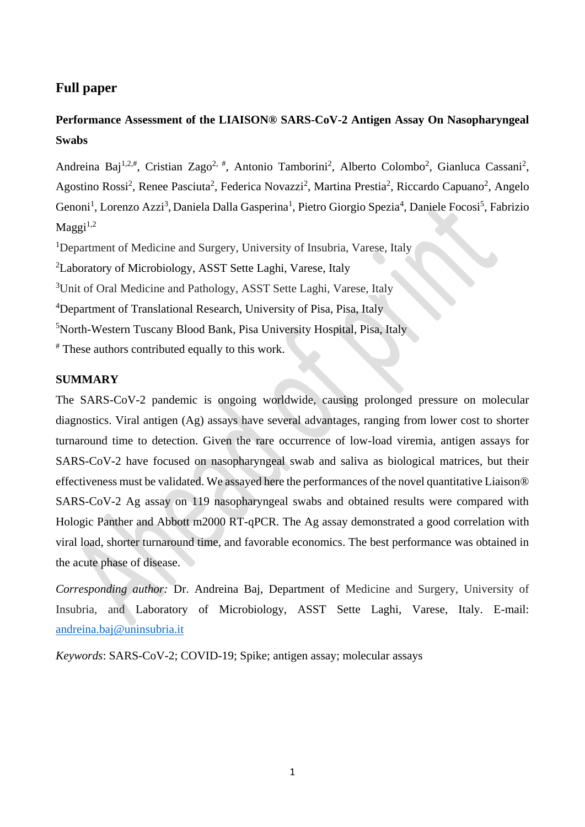## **Full paper**

# **Performance Assessment of the LIAISON® SARS-CoV-2 Antigen Assay On Nasopharyngeal Swabs**

Andreina Baj<sup>1,2,#</sup>, Cristian Zago<sup>2,#</sup>, Antonio Tamborini<sup>2</sup>, Alberto Colombo<sup>2</sup>, Gianluca Cassani<sup>2</sup>, Agostino Rossi<sup>2</sup>, Renee Pasciuta<sup>2</sup>, Federica Novazzi<sup>2</sup>, Martina Prestia<sup>2</sup>, Riccardo Capuano<sup>2</sup>, Angelo Genoni<sup>1</sup>, Lorenzo Azzi<sup>3</sup>, Daniela Dalla Gasperina<sup>1</sup>, Pietro Giorgio Spezia<sup>4</sup>, Daniele Focosi<sup>5</sup>, Fabrizio  $M$ aggi $^{1,2}$ 

<sup>1</sup>Department of Medicine and Surgery, University of Insubria, Varese, Italy

<sup>2</sup>Laboratory of Microbiology, ASST Sette Laghi, Varese, Italy

<sup>3</sup>Unit of Oral Medicine and Pathology, ASST Sette Laghi, Varese, Italy

<sup>4</sup>Department of Translational Research, University of Pisa, Pisa, Italy

<sup>5</sup>North-Western Tuscany Blood Bank, Pisa University Hospital, Pisa, Italy

# These authors contributed equally to this work.

## **SUMMARY**

The SARS-CoV-2 pandemic is ongoing worldwide, causing prolonged pressure on molecular diagnostics. Viral antigen (Ag) assays have several advantages, ranging from lower cost to shorter turnaround time to detection. Given the rare occurrence of low-load viremia, antigen assays for SARS-CoV-2 have focused on nasopharyngeal swab and saliva as biological matrices, but their effectiveness must be validated. We assayed here the performances of the novel quantitative Liaison® SARS-CoV-2 Ag assay on 119 nasopharyngeal swabs and obtained results were compared with Hologic Panther and Abbott m2000 RT-qPCR. The Ag assay demonstrated a good correlation with viral load, shorter turnaround time, and favorable economics. The best performance was obtained in the acute phase of disease.

*Corresponding author:* Dr. Andreina Baj, Department of Medicine and Surgery, University of Insubria, and Laboratory of Microbiology, ASST Sette Laghi, Varese, Italy. E-mail: [andreina.baj@uninsubria.it](mailto:andreina.baj@uninsubria.it)

*Keywords*: SARS-CoV-2; COVID-19; Spike; antigen assay; molecular assays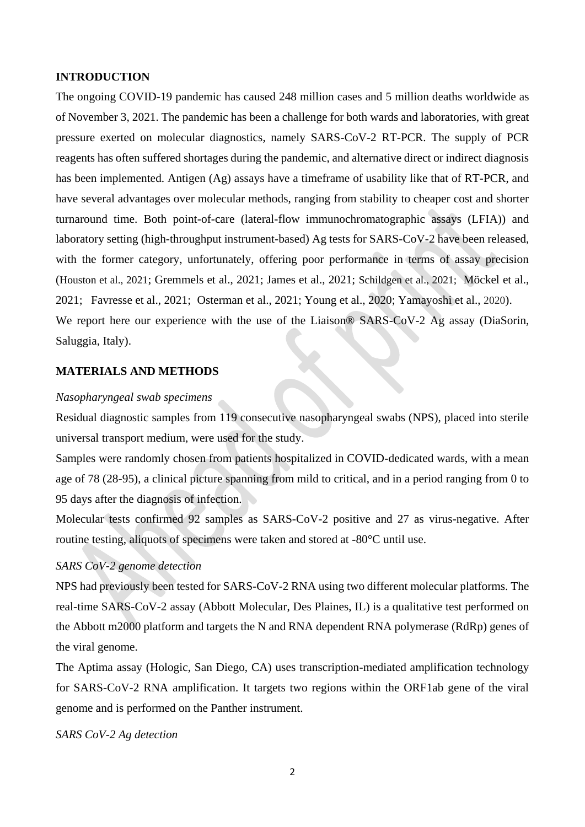## **INTRODUCTION**

The ongoing COVID-19 pandemic has caused 248 million cases and 5 million deaths worldwide as of November 3, 2021. The pandemic has been a challenge for both wards and laboratories, with great pressure exerted on molecular diagnostics, namely SARS-CoV-2 RT-PCR. The supply of PCR reagents has often suffered shortages during the pandemic, and alternative direct or indirect diagnosis has been implemented. Antigen (Ag) assays have a timeframe of usability like that of RT-PCR, and have several advantages over molecular methods, ranging from stability to cheaper cost and shorter turnaround time. Both point-of-care (lateral-flow immunochromatographic assays (LFIA)) and laboratory setting (high-throughput instrument-based) Ag tests for SARS-CoV-2 have been released, with the former category, unfortunately, offering poor performance in terms of assay precision (Houston et al., 2021; Gremmels et al., 2021; James et al., 2021; Schildgen et al., 2021; Möckel et al., 2021; Favresse et al., 2021; Osterman et al., 2021; Young et al., 2020; Yamayoshi et al., 2020). We report here our experience with the use of the Liaison® SARS-CoV-2 Ag assay (DiaSorin,

Saluggia, Italy).

### **MATERIALS AND METHODS**

#### *Nasopharyngeal swab specimens*

Residual diagnostic samples from 119 consecutive nasopharyngeal swabs (NPS), placed into sterile universal transport medium, were used for the study.

Samples were randomly chosen from patients hospitalized in COVID-dedicated wards, with a mean age of 78 (28-95), a clinical picture spanning from mild to critical, and in a period ranging from 0 to 95 days after the diagnosis of infection.

Molecular tests confirmed 92 samples as SARS-CoV-2 positive and 27 as virus-negative. After routine testing, aliquots of specimens were taken and stored at -80°C until use.

## *SARS CoV-2 genome detection*

NPS had previously been tested for SARS-CoV-2 RNA using two different molecular platforms. The real-time SARS-CoV-2 assay (Abbott Molecular, Des Plaines, IL) is a qualitative test performed on the Abbott m2000 platform and targets the N and RNA dependent RNA polymerase (RdRp) genes of the viral genome.

The Aptima assay (Hologic, San Diego, CA) uses transcription-mediated amplification technology for SARS-CoV-2 RNA amplification. It targets two regions within the ORF1ab gene of the viral genome and is performed on the Panther instrument.

### *SARS CoV-2 Ag detection*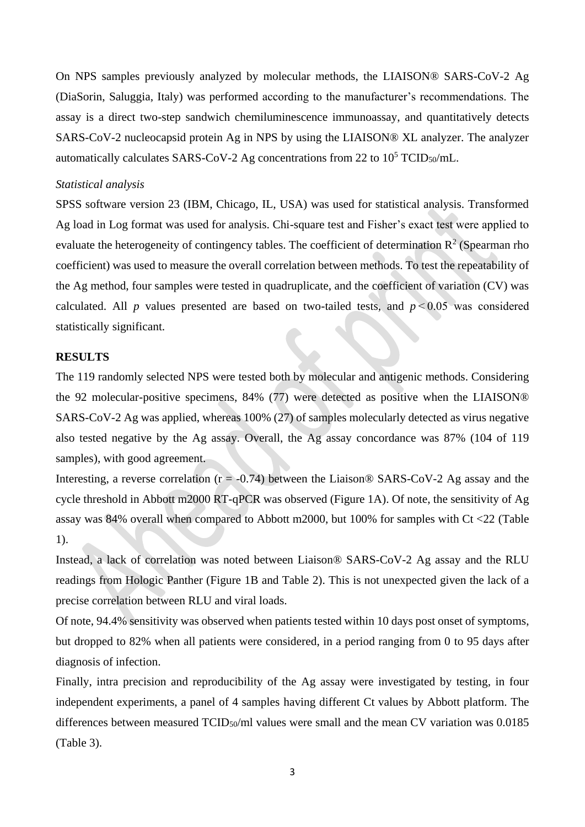On NPS samples previously analyzed by molecular methods, the LIAISON® SARS-CoV-2 Ag (DiaSorin, Saluggia, Italy) was performed according to the manufacturer's recommendations. The assay is a direct two-step sandwich chemiluminescence immunoassay, and quantitatively detects SARS-CoV-2 nucleocapsid protein Ag in NPS by using the LIAISON® XL analyzer. The analyzer automatically calculates SARS-CoV-2 Ag concentrations from 22 to  $10^5$  TCID<sub>50</sub>/mL.

#### *Statistical analysis*

SPSS software version 23 (IBM, Chicago, IL, USA) was used for statistical analysis. Transformed Ag load in Log format was used for analysis. Chi-square test and Fisher's exact test were applied to evaluate the heterogeneity of contingency tables. The coefficient of determination  $\mathbb{R}^2$  (Spearman rho coefficient) was used to measure the overall correlation between methods. To test the repeatability of the Ag method, four samples were tested in quadruplicate, and the coefficient of variation (CV) was calculated. All *p* values presented are based on two-tailed tests, and  $p \le 0.05$  was considered statistically significant.

#### **RESULTS**

The 119 randomly selected NPS were tested both by molecular and antigenic methods. Considering the 92 molecular-positive specimens, 84% (77) were detected as positive when the LIAISON® SARS-CoV-2 Ag was applied, whereas 100% (27) of samples molecularly detected as virus negative also tested negative by the Ag assay. Overall, the Ag assay concordance was 87% (104 of 119 samples), with good agreement.

Interesting, a reverse correlation ( $r = -0.74$ ) between the Liaison® SARS-CoV-2 Ag assay and the cycle threshold in Abbott m2000 RT-qPCR was observed (Figure 1A). Of note, the sensitivity of Ag assay was 84% overall when compared to Abbott m2000, but 100% for samples with Ct <22 (Table 1).

Instead, a lack of correlation was noted between Liaison® SARS-CoV-2 Ag assay and the RLU readings from Hologic Panther (Figure 1B and Table 2). This is not unexpected given the lack of a precise correlation between RLU and viral loads.

Of note, 94.4% sensitivity was observed when patients tested within 10 days post onset of symptoms, but dropped to 82% when all patients were considered, in a period ranging from 0 to 95 days after diagnosis of infection.

Finally, intra precision and reproducibility of the Ag assay were investigated by testing, in four independent experiments, a panel of 4 samples having different Ct values by Abbott platform. The differences between measured TCID<sub>50</sub>/ml values were small and the mean CV variation was 0.0185 (Table 3).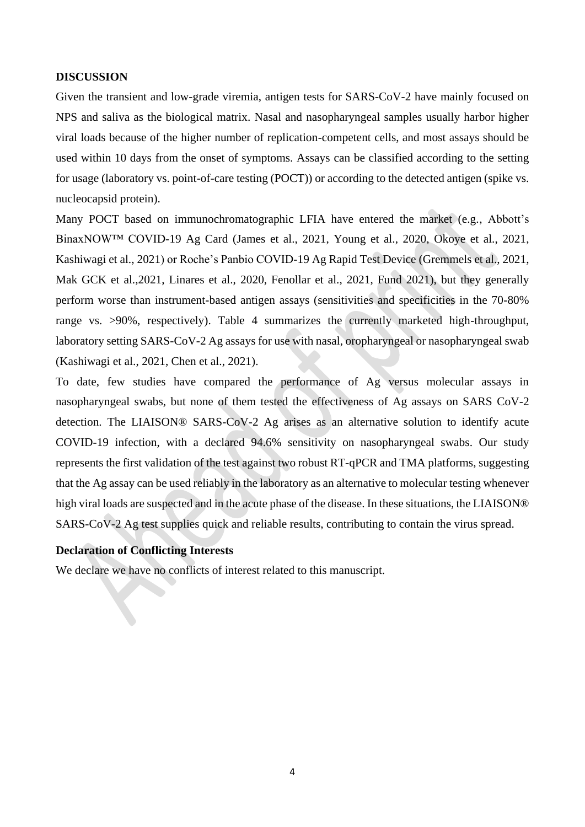#### **DISCUSSION**

Given the transient and low-grade viremia, antigen tests for SARS-CoV-2 have mainly focused on NPS and saliva as the biological matrix. Nasal and nasopharyngeal samples usually harbor higher viral loads because of the higher number of replication-competent cells, and most assays should be used within 10 days from the onset of symptoms. Assays can be classified according to the setting for usage (laboratory vs. point-of-care testing (POCT)) or according to the detected antigen (spike vs. nucleocapsid protein).

Many POCT based on immunochromatographic LFIA have entered the market (e.g., Abbott's BinaxNOW<sup>™</sup> COVID-19 Ag Card (James et al., 2021, Young et al., 2020, Okoye et al., 2021, Kashiwagi et al., 2021) or Roche's Panbio COVID-19 Ag Rapid Test Device (Gremmels et al., 2021, Mak GCK et al.,2021, Linares et al., 2020, Fenollar et al., 2021, Fund 2021), but they generally perform worse than instrument-based antigen assays (sensitivities and specificities in the 70-80% range vs. >90%, respectively). Table 4 summarizes the currently marketed high-throughput, laboratory setting SARS-CoV-2 Ag assays for use with nasal, oropharyngeal or nasopharyngeal swab (Kashiwagi et al., 2021, Chen et al., 2021).

To date, few studies have compared the performance of Ag versus molecular assays in nasopharyngeal swabs, but none of them tested the effectiveness of Ag assays on SARS CoV-2 detection. The LIAISON® SARS-CoV-2 Ag arises as an alternative solution to identify acute COVID-19 infection, with a declared 94.6% sensitivity on nasopharyngeal swabs. Our study represents the first validation of the test against two robust RT-qPCR and TMA platforms, suggesting that the Ag assay can be used reliably in the laboratory as an alternative to molecular testing whenever high viral loads are suspected and in the acute phase of the disease. In these situations, the LIAISON® SARS-CoV-2 Ag test supplies quick and reliable results, contributing to contain the virus spread.

## **Declaration of Conflicting Interests**

We declare we have no conflicts of interest related to this manuscript.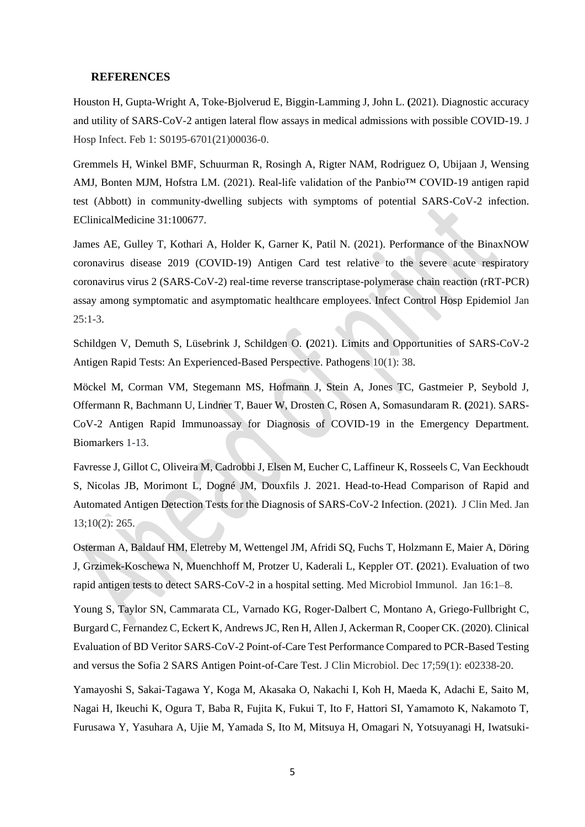#### **REFERENCES**

Houston H, Gupta-Wright A, Toke-Bjolverud E, Biggin-Lamming J, John L. **(**2021). Diagnostic accuracy and utility of SARS-CoV-2 antigen lateral flow assays in medical admissions with possible COVID-19. J Hosp Infect. Feb 1: S0195-6701(21)00036-0.

Gremmels H, Winkel BMF, Schuurman R, Rosingh A, Rigter NAM, Rodriguez O, Ubijaan J, Wensing AMJ, Bonten MJM, Hofstra LM. (2021). Real-life validation of the Panbio™ COVID-19 antigen rapid test (Abbott) in community-dwelling subjects with symptoms of potential SARS-CoV-2 infection. EClinicalMedicine 31:100677.

James AE, Gulley T, Kothari A, Holder K, Garner K, Patil N. (2021). Performance of the BinaxNOW coronavirus disease 2019 (COVID-19) Antigen Card test relative to the severe acute respiratory coronavirus virus 2 (SARS-CoV-2) real-time reverse transcriptase-polymerase chain reaction (rRT-PCR) assay among symptomatic and asymptomatic healthcare employees. Infect Control Hosp Epidemiol Jan  $25:1-3.$ 

Schildgen V, Demuth S, Lüsebrink J, Schildgen O. **(**2021). Limits and Opportunities of SARS-CoV-2 Antigen Rapid Tests: An Experienced-Based Perspective. Pathogens 10(1): 38.

Möckel M, Corman VM, Stegemann MS, Hofmann J, Stein A, Jones TC, Gastmeier P, Seybold J, Offermann R, Bachmann U, Lindner T, Bauer W, Drosten C, Rosen A, Somasundaram R. **(**2021). SARS-CoV-2 Antigen Rapid Immunoassay for Diagnosis of COVID-19 in the Emergency Department. Biomarkers 1-13.

Favresse J, Gillot C, Oliveira M, Cadrobbi J, Elsen M, Eucher C, Laffineur K, Rosseels C, Van Eeckhoudt S, Nicolas JB, Morimont L, Dogné JM, Douxfils J. 2021. Head-to-Head Comparison of Rapid and Automated Antigen Detection Tests for the Diagnosis of SARS-CoV-2 Infection. (2021). J Clin Med. Jan 13;10(2): 265.

Osterman A, Baldauf HM, Eletreby M, Wettengel JM, Afridi SQ, Fuchs T, Holzmann E, Maier A, Döring J, Grzimek-Koschewa N, Muenchhoff M, Protzer U, Kaderali L, Keppler OT. **(**2021). Evaluation of two rapid antigen tests to detect SARS-CoV-2 in a hospital setting. Med Microbiol Immunol. Jan 16:1–8.

Young S, Taylor SN, Cammarata CL, Varnado KG, Roger-Dalbert C, Montano A, Griego-Fullbright C, Burgard C, Fernandez C, Eckert K, Andrews JC, Ren H, Allen J, Ackerman R, Cooper CK. (2020). Clinical Evaluation of BD Veritor SARS-CoV-2 Point-of-Care Test Performance Compared to PCR-Based Testing and versus the Sofia 2 SARS Antigen Point-of-Care Test. J Clin Microbiol. Dec 17;59(1): e02338-20.

Yamayoshi S, Sakai-Tagawa Y, Koga M, Akasaka O, Nakachi I, Koh H, Maeda K, Adachi E, Saito M, Nagai H, Ikeuchi K, Ogura T, Baba R, Fujita K, Fukui T, Ito F, Hattori SI, Yamamoto K, Nakamoto T, Furusawa Y, Yasuhara A, Ujie M, Yamada S, Ito M, Mitsuya H, Omagari N, Yotsuyanagi H, Iwatsuki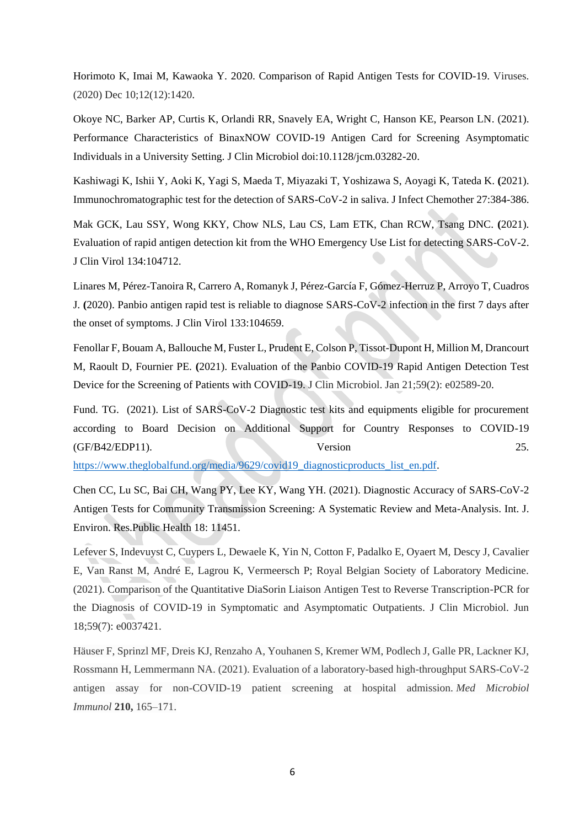Horimoto K, Imai M, Kawaoka Y. 2020. Comparison of Rapid Antigen Tests for COVID-19. Viruses. (2020) Dec 10;12(12):1420.

Okoye NC, Barker AP, Curtis K, Orlandi RR, Snavely EA, Wright C, Hanson KE, Pearson LN. (2021). Performance Characteristics of BinaxNOW COVID-19 Antigen Card for Screening Asymptomatic Individuals in a University Setting. J Clin Microbiol doi:10.1128/jcm.03282-20.

Kashiwagi K, Ishii Y, Aoki K, Yagi S, Maeda T, Miyazaki T, Yoshizawa S, Aoyagi K, Tateda K. **(**2021). Immunochromatographic test for the detection of SARS-CoV-2 in saliva. J Infect Chemother 27:384-386.

Mak GCK, Lau SSY, Wong KKY, Chow NLS, Lau CS, Lam ETK, Chan RCW, Tsang DNC. **(**2021). Evaluation of rapid antigen detection kit from the WHO Emergency Use List for detecting SARS-CoV-2. J Clin Virol 134:104712.

Linares M, Pérez-Tanoira R, Carrero A, Romanyk J, Pérez-García F, Gómez-Herruz P, Arroyo T, Cuadros J. **(**2020). Panbio antigen rapid test is reliable to diagnose SARS-CoV-2 infection in the first 7 days after the onset of symptoms. J Clin Virol 133:104659.

Fenollar F, Bouam A, Ballouche M, Fuster L, Prudent E, Colson P, Tissot-Dupont H, Million M, Drancourt M, Raoult D, Fournier PE. **(**2021). Evaluation of the Panbio COVID-19 Rapid Antigen Detection Test Device for the Screening of Patients with COVID-19. J Clin Microbiol. Jan 21;59(2): e02589-20.

Fund. TG. (2021). List of SARS-CoV-2 Diagnostic test kits and equipments eligible for procurement according to Board Decision on Additional Support for Country Responses to COVID-19  $(GF/B42/EDP11)$ .  $Version$  25.

[https://www.theglobalfund.org/media/9629/covid19\\_diagnosticproducts\\_list\\_en.pdf.](https://www.theglobalfund.org/media/9629/covid19_diagnosticproducts_list_en.pdf)

Chen CC, Lu SC, Bai CH, Wang PY, Lee KY, Wang YH. (2021). Diagnostic Accuracy of SARS-CoV-2 Antigen Tests for Community Transmission Screening: A Systematic Review and Meta-Analysis. Int. J. Environ. Res.Public Health 18: 11451.

Lefever S, Indevuyst C, Cuypers L, Dewaele K, Yin N, Cotton F, Padalko E, Oyaert M, Descy J, Cavalier E, Van Ranst M, André E, Lagrou K, Vermeersch P; Royal Belgian Society of Laboratory Medicine. (2021). Comparison of the Quantitative DiaSorin Liaison Antigen Test to Reverse Transcription-PCR for the Diagnosis of COVID-19 in Symptomatic and Asymptomatic Outpatients. J Clin Microbiol. Jun 18;59(7): e0037421.

Häuser F, Sprinzl MF, Dreis KJ, Renzaho A, Youhanen S, Kremer WM, Podlech J, Galle PR, Lackner KJ, Rossmann H, Lemmermann NA. (2021). Evaluation of a laboratory-based high-throughput SARS-CoV-2 antigen assay for non-COVID-19 patient screening at hospital admission. *Med Microbiol Immunol* **210,** 165–171.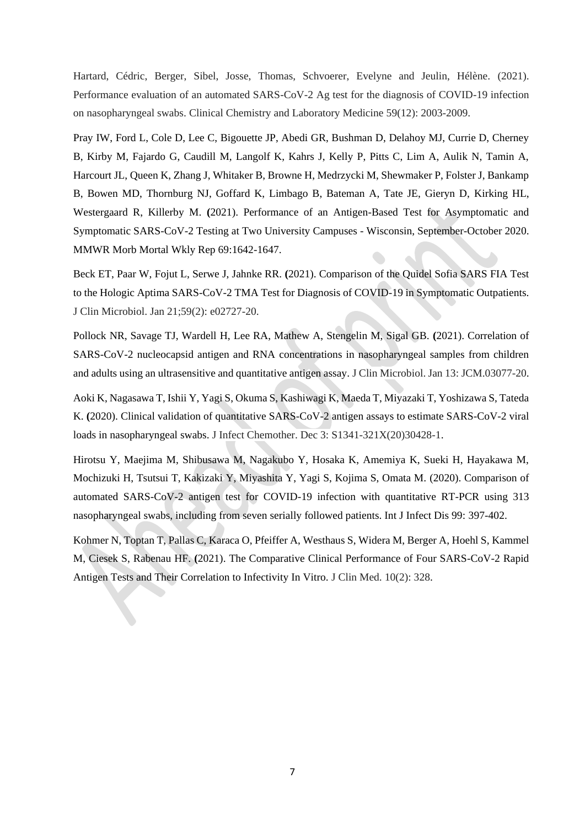Hartard, Cédric, Berger, Sibel, Josse, Thomas, Schvoerer, Evelyne and Jeulin, Hélène. (2021). Performance evaluation of an automated SARS-CoV-2 Ag test for the diagnosis of COVID-19 infection on nasopharyngeal swabs. Clinical Chemistry and Laboratory Medicine 59(12): 2003-2009.

Pray IW, Ford L, Cole D, Lee C, Bigouette JP, Abedi GR, Bushman D, Delahoy MJ, Currie D, Cherney B, Kirby M, Fajardo G, Caudill M, Langolf K, Kahrs J, Kelly P, Pitts C, Lim A, Aulik N, Tamin A, Harcourt JL, Queen K, Zhang J, Whitaker B, Browne H, Medrzycki M, Shewmaker P, Folster J, Bankamp B, Bowen MD, Thornburg NJ, Goffard K, Limbago B, Bateman A, Tate JE, Gieryn D, Kirking HL, Westergaard R, Killerby M. **(**2021). Performance of an Antigen-Based Test for Asymptomatic and Symptomatic SARS-CoV-2 Testing at Two University Campuses - Wisconsin, September-October 2020. MMWR Morb Mortal Wkly Rep 69:1642-1647.

Beck ET, Paar W, Fojut L, Serwe J, Jahnke RR. **(**2021). Comparison of the Quidel Sofia SARS FIA Test to the Hologic Aptima SARS-CoV-2 TMA Test for Diagnosis of COVID-19 in Symptomatic Outpatients. J Clin Microbiol. Jan 21;59(2): e02727-20.

Pollock NR, Savage TJ, Wardell H, Lee RA, Mathew A, Stengelin M, Sigal GB. **(**2021). Correlation of SARS-CoV-2 nucleocapsid antigen and RNA concentrations in nasopharyngeal samples from children and adults using an ultrasensitive and quantitative antigen assay. J Clin Microbiol. Jan 13: JCM.03077-20.

Aoki K, Nagasawa T, Ishii Y, Yagi S, Okuma S, Kashiwagi K, Maeda T, Miyazaki T, Yoshizawa S, Tateda K. **(**2020). Clinical validation of quantitative SARS-CoV-2 antigen assays to estimate SARS-CoV-2 viral loads in nasopharyngeal swabs. J Infect Chemother. Dec 3: S1341-321X(20)30428-1.

Hirotsu Y, Maejima M, Shibusawa M, Nagakubo Y, Hosaka K, Amemiya K, Sueki H, Hayakawa M, Mochizuki H, Tsutsui T, Kakizaki Y, Miyashita Y, Yagi S, Kojima S, Omata M. (2020). Comparison of automated SARS-CoV-2 antigen test for COVID-19 infection with quantitative RT-PCR using 313 nasopharyngeal swabs, including from seven serially followed patients. Int J Infect Dis 99: 397-402.

Kohmer N, Toptan T, Pallas C, Karaca O, Pfeiffer A, Westhaus S, Widera M, Berger A, Hoehl S, Kammel M, Ciesek S, Rabenau HF. **(**2021). The Comparative Clinical Performance of Four SARS-CoV-2 Rapid Antigen Tests and Their Correlation to Infectivity In Vitro. J Clin Med. 10(2): 328.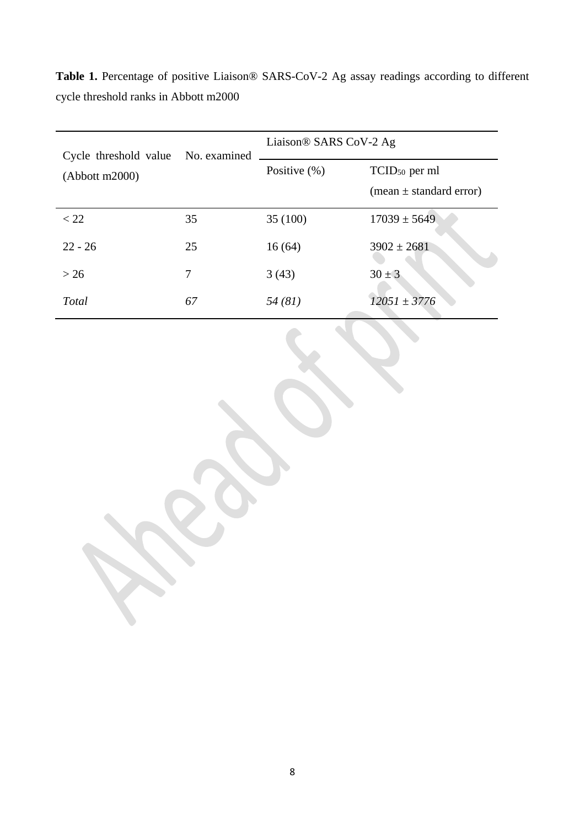| Cycle threshold value No. examined |    | Liaison® SARS CoV-2 Ag |                                                          |  |
|------------------------------------|----|------------------------|----------------------------------------------------------|--|
| (Abbott m2000)                     |    | Positive $(\% )$       | TCID <sub>50</sub> per ml<br>(mean $\pm$ standard error) |  |
| $<$ 22                             | 35 | 35 (100)               | $17039 \pm 5649$                                         |  |
| $22 - 26$                          | 25 | 16(64)                 | $3902 \pm 2681$                                          |  |
| > 26                               | 7  | 3(43)                  | $30 \pm 3$                                               |  |
| Total                              | 67 | 54(81)                 | $12051 \pm 3776$                                         |  |

**Table 1.** Percentage of positive Liaison® SARS-CoV-2 Ag assay readings according to different cycle threshold ranks in Abbott m2000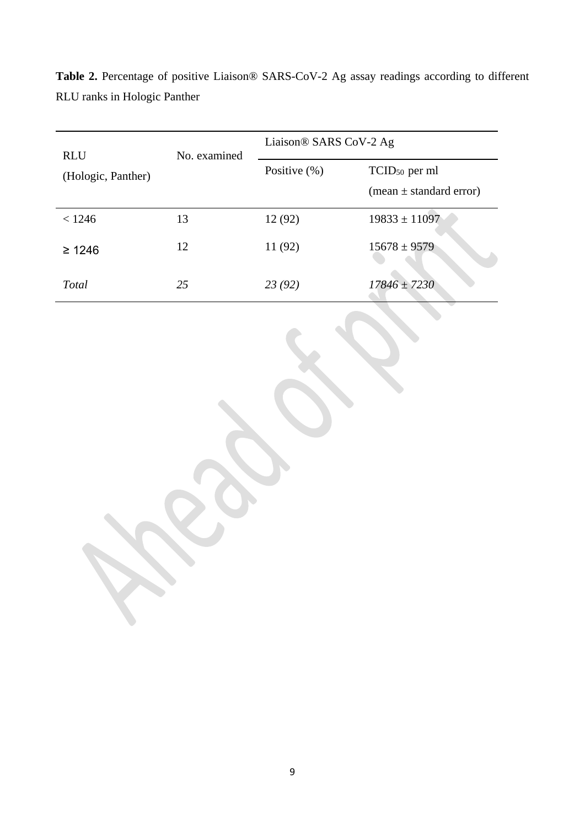| <b>RLU</b>         | No. examined | Liaison <sup>®</sup> SARS CoV-2 Ag |                                                                        |  |
|--------------------|--------------|------------------------------------|------------------------------------------------------------------------|--|
| (Hologic, Panther) |              | Positive $(\% )$                   | TCID <sub>50</sub> per ml<br>$(\text{mean} \pm \text{standard error})$ |  |
| < 1246             | 13           | 12 (92)                            | $19833 \pm 11097$                                                      |  |
| $\geq 1246$        | 12           | 11 (92)                            | $15678 \pm 9579$                                                       |  |
| Total              | 25           | 23(92)                             | $17846 \pm 7230$                                                       |  |

**Table 2.** Percentage of positive Liaison® SARS-CoV-2 Ag assay readings according to different RLU ranks in Hologic Panther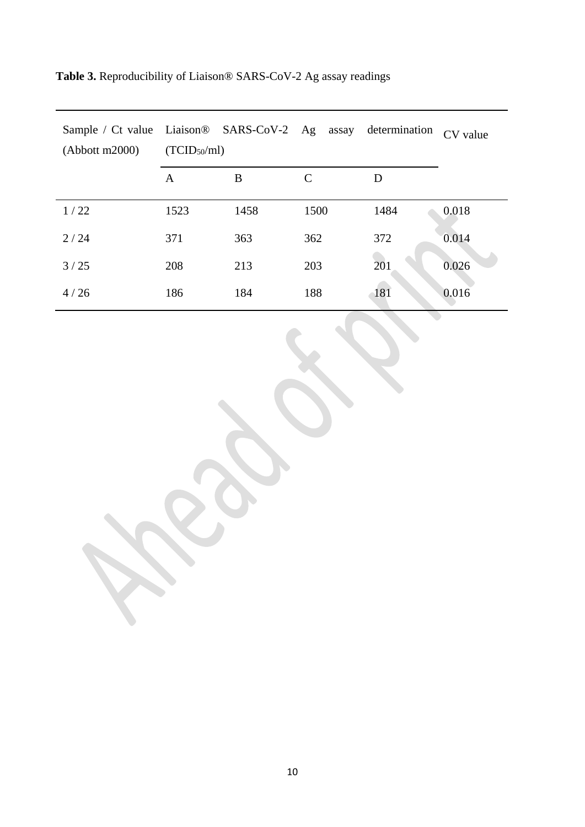| Sample / Ct value Liaison® SARS-CoV-2 Ag assay determination<br>(Abbott m2000) | (TCID <sub>50</sub> /ml) |      |      |      | CV value |
|--------------------------------------------------------------------------------|--------------------------|------|------|------|----------|
|                                                                                | A                        | B    | C    | D    |          |
| 1/22                                                                           | 1523                     | 1458 | 1500 | 1484 | 0.018    |
| 2/24                                                                           | 371                      | 363  | 362  | 372  | 0.014    |
| 3/25                                                                           | 208                      | 213  | 203  | 201  | 0.026    |
| 4/26                                                                           | 186                      | 184  | 188  | 181  | 0.016    |

 $\langle \cdot \rangle$ 

**Table 3.** Reproducibility of Liaison® SARS-CoV-2 Ag assay readings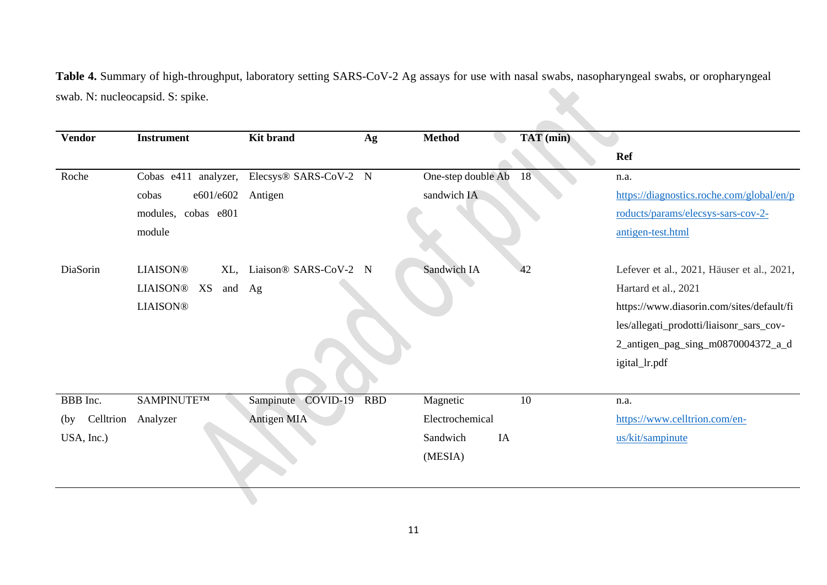**Table 4.** Summary of high-throughput, laboratory setting SARS-CoV-2 Ag assays for use with nasal swabs, nasopharyngeal swabs, or oropharyngeal swab. N: nucleocapsid. S: spike.

| <b>Vendor</b> | <b>Instrument</b>      | <b>Kit brand</b>                           | Ag         | <b>Method</b>      | TAT (min) |                                            |
|---------------|------------------------|--------------------------------------------|------------|--------------------|-----------|--------------------------------------------|
|               |                        |                                            |            |                    |           | <b>Ref</b>                                 |
| Roche         |                        | Cobas e411 analyzer, Elecsys® SARS-CoV-2 N |            | One-step double Ab | 18        | n.a.                                       |
|               | e601/e602<br>cobas     | Antigen                                    |            | sandwich IA        |           | https://diagnostics.roche.com/global/en/p  |
|               | modules, cobas e801    |                                            |            |                    |           | roducts/params/elecsys-sars-cov-2-         |
|               | module                 |                                            |            |                    |           | antigen-test.html                          |
| DiaSorin      | <b>LIAISON®</b><br>XL, | Liaison® SARS-CoV-2 N                      |            | Sandwich IA        | 42        | Lefever et al., 2021, Häuser et al., 2021, |
|               | LIAISON® XS<br>and Ag  |                                            |            |                    |           | Hartard et al., 2021                       |
|               | <b>LIAISON®</b>        |                                            |            |                    |           | https://www.diasorin.com/sites/default/fi  |
|               |                        |                                            |            |                    |           | les/allegati_prodotti/liaisonr_sars_cov-   |
|               |                        |                                            |            |                    |           | 2_antigen_pag_sing_m0870004372_a_d         |
|               |                        |                                            |            |                    |           | igital_lr.pdf                              |
|               |                        |                                            |            |                    |           |                                            |
| BBB Inc.      | SAMPINUTE™             | Sampinute COVID-19                         | <b>RBD</b> | Magnetic           | 10        | n.a.                                       |
| (by)          | Celltrion Analyzer     | Antigen MIA                                |            | Electrochemical    |           | https://www.celltrion.com/en-              |
| USA, Inc.)    |                        |                                            |            | Sandwich<br>IA     |           | us/kit/sampinute                           |
|               |                        |                                            |            | (MESIA)            |           |                                            |
|               |                        |                                            |            |                    |           |                                            |
|               |                        |                                            |            |                    |           |                                            |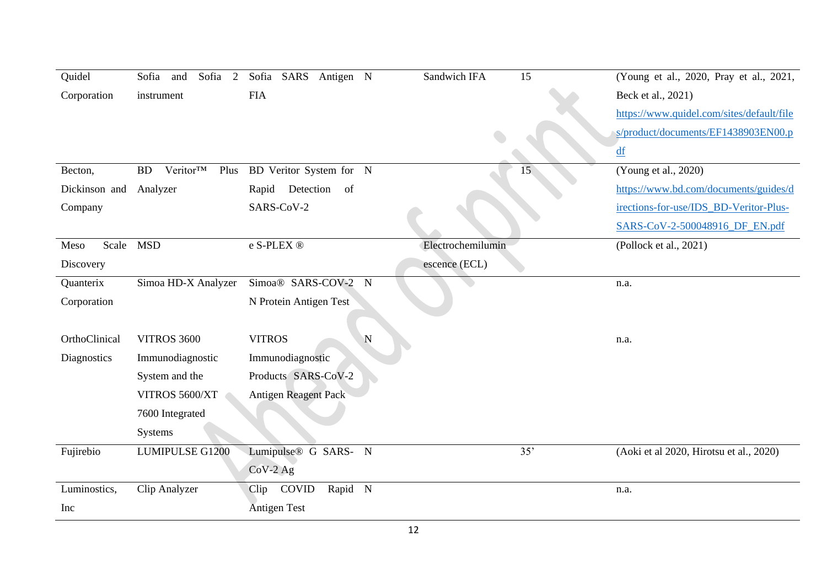| Quidel            | Sofia 2<br>Sofia and               | Sofia SARS Antigen N             | Sandwich IFA      | 15  | (Young et al., 2020, Pray et al., 2021,   |
|-------------------|------------------------------------|----------------------------------|-------------------|-----|-------------------------------------------|
| Corporation       | instrument                         | <b>FIA</b>                       |                   |     | Beck et al., 2021)                        |
|                   |                                    |                                  |                   |     | https://www.quidel.com/sites/default/file |
|                   |                                    |                                  |                   |     | s/product/documents/EF1438903EN00.p       |
|                   |                                    |                                  |                   |     | df                                        |
| Becton,           | Veritor <sup>TM</sup><br><b>BD</b> | Plus BD Veritor System for N     |                   | 15  | (Young et al., 2020)                      |
| Dickinson and     | Analyzer                           | Rapid Detection<br>of            |                   |     | https://www.bd.com/documents/guides/d     |
| Company           |                                    | SARS-CoV-2                       |                   |     | irections-for-use/IDS_BD-Veritor-Plus-    |
|                   |                                    |                                  |                   |     | SARS-CoV-2-500048916_DF_EN.pdf            |
| Scale MSD<br>Meso |                                    | e S-PLEX ®                       | Electrochemilumin |     | (Pollock et al., 2021)                    |
| Discovery         |                                    |                                  | escence (ECL)     |     |                                           |
| Quanterix         | Simoa HD-X Analyzer                | Simoa® SARS-COV-2<br>${\bf N}$   |                   |     | n.a.                                      |
| Corporation       |                                    | N Protein Antigen Test           |                   |     |                                           |
|                   |                                    |                                  |                   |     |                                           |
| OrthoClinical     | <b>VITROS 3600</b>                 | <b>VITROS</b><br>$\mathbf N$     |                   |     | n.a.                                      |
| Diagnostics       | Immunodiagnostic                   | Immunodiagnostic                 |                   |     |                                           |
|                   | System and the                     | Products SARS-CoV-2              |                   |     |                                           |
|                   | VITROS 5600/XT                     | <b>Antigen Reagent Pack</b>      |                   |     |                                           |
|                   | 7600 Integrated                    |                                  |                   |     |                                           |
|                   | Systems                            |                                  |                   |     |                                           |
| Fujirebio         | <b>LUMIPULSE G1200</b>             | Lumipulse <sup>®</sup> G SARS- N |                   | 35' | (Aoki et al 2020, Hirotsu et al., 2020)   |
|                   |                                    | $CoV-2 Ag$                       |                   |     |                                           |
| Luminostics,      | Clip Analyzer                      | Rapid N<br>COVID<br>Clip         |                   |     | n.a.                                      |
| Inc               |                                    | <b>Antigen Test</b>              |                   |     |                                           |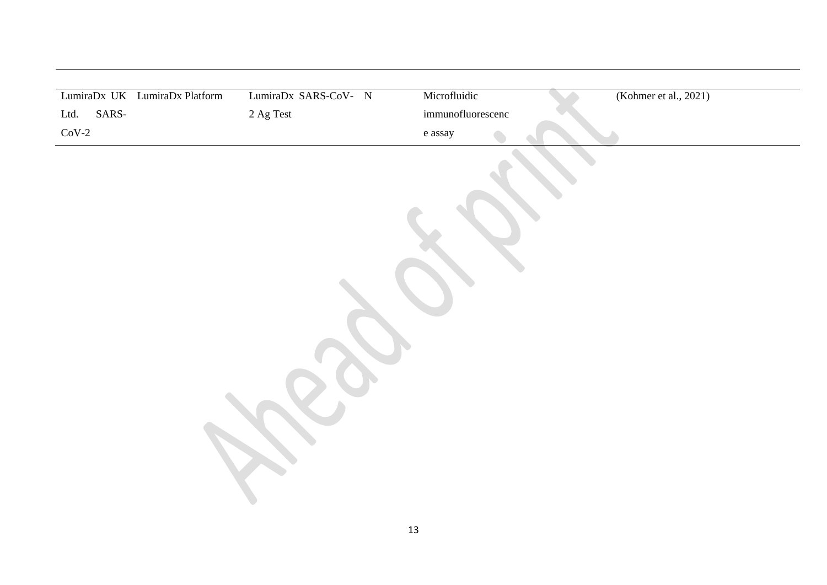|               | LumiraDx UK LumiraDx Platform | LumiraDx SARS-CoV- N | Microfluidic      | (Kohmer et al., 2021) |  |
|---------------|-------------------------------|----------------------|-------------------|-----------------------|--|
| SARS-<br>Ltd. |                               | $2$ Ag Test $\,$     | immunofluorescenc |                       |  |
| $CoV-2$       |                               |                      | e assay           |                       |  |
|               |                               |                      |                   |                       |  |
|               |                               |                      | $13\,$            |                       |  |